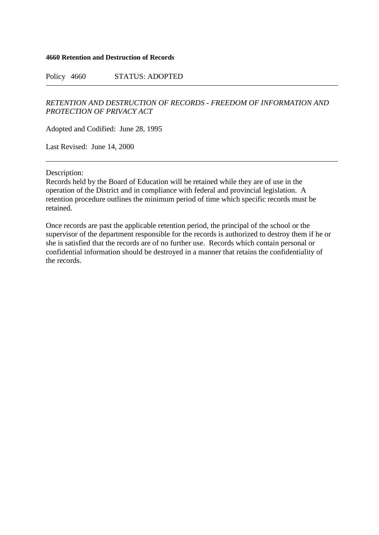## **4660 Retention and Destruction of Records**

Policy 4660 STATUS: ADOPTED

## *RETENTION AND DESTRUCTION OF RECORDS - FREEDOM OF INFORMATION AND PROTECTION OF PRIVACY ACT*

Adopted and Codified: June 28, 1995

Last Revised: June 14, 2000

Description:

Records held by the Board of Education will be retained while they are of use in the operation of the District and in compliance with federal and provincial legislation. A retention procedure outlines the minimum period of time which specific records must be retained.

Once records are past the applicable retention period, the principal of the school or the supervisor of the department responsible for the records is authorized to destroy them if he or she is satisfied that the records are of no further use. Records which contain personal or confidential information should be destroyed in a manner that retains the confidentiality of the records.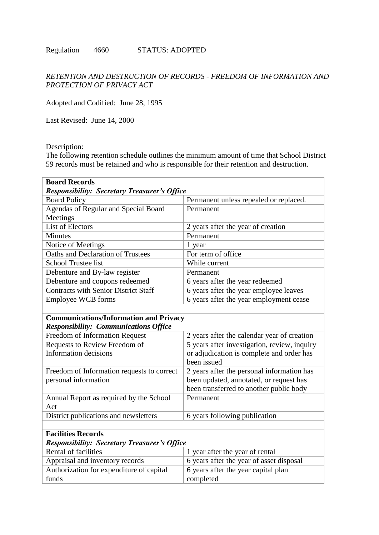## *RETENTION AND DESTRUCTION OF RECORDS - FREEDOM OF INFORMATION AND PROTECTION OF PRIVACY ACT*

Adopted and Codified: June 28, 1995

Last Revised: June 14, 2000

Description:

The following retention schedule outlines the minimum amount of time that School District 59 records must be retained and who is responsible for their retention and destruction.

| <b>Board Records</b>                                |                                              |  |
|-----------------------------------------------------|----------------------------------------------|--|
| <b>Responsibility: Secretary Treasurer's Office</b> |                                              |  |
| <b>Board Policy</b>                                 | Permanent unless repealed or replaced.       |  |
| Agendas of Regular and Special Board                | Permanent                                    |  |
| Meetings                                            |                                              |  |
| <b>List of Electors</b>                             | 2 years after the year of creation           |  |
| <b>Minutes</b>                                      | Permanent                                    |  |
| Notice of Meetings                                  | 1 year                                       |  |
| Oaths and Declaration of Trustees                   | For term of office                           |  |
| <b>School Trustee list</b>                          | While current                                |  |
| Debenture and By-law register                       | Permanent                                    |  |
| Debenture and coupons redeemed                      | 6 years after the year redeemed              |  |
| <b>Contracts with Senior District Staff</b>         | 6 years after the year employee leaves       |  |
| Employee WCB forms                                  | 6 years after the year employment cease      |  |
|                                                     |                                              |  |
| <b>Communications/Information and Privacy</b>       |                                              |  |
| <b>Responsibility: Communications Office</b>        |                                              |  |
| Freedom of Information Request                      | 2 years after the calendar year of creation  |  |
| Requests to Review Freedom of                       | 5 years after investigation, review, inquiry |  |
| Information decisions                               | or adjudication is complete and order has    |  |
|                                                     | been issued                                  |  |
| Freedom of Information requests to correct          | 2 years after the personal information has   |  |
| personal information                                | been updated, annotated, or request has      |  |
|                                                     | been transferred to another public body      |  |
| Annual Report as required by the School             | Permanent                                    |  |
| Act                                                 |                                              |  |
| District publications and newsletters               | 6 years following publication                |  |
|                                                     |                                              |  |
| <b>Facilities Records</b>                           |                                              |  |
| <b>Responsibility: Secretary Treasurer's Office</b> |                                              |  |
| Rental of facilities                                | 1 year after the year of rental              |  |
| Appraisal and inventory records                     | 6 years after the year of asset disposal     |  |
| Authorization for expenditure of capital            | 6 years after the year capital plan          |  |
| funds                                               | completed                                    |  |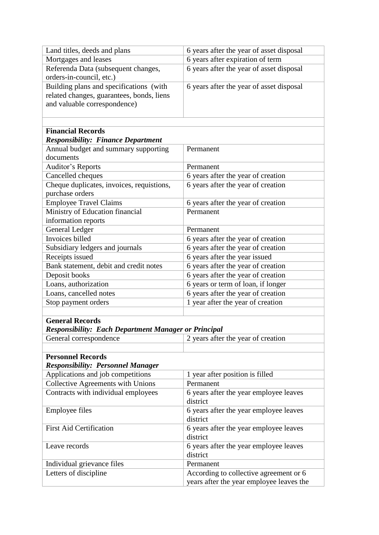| Land titles, deeds and plans                                | 6 years after the year of asset disposal                                |
|-------------------------------------------------------------|-------------------------------------------------------------------------|
| Mortgages and leases                                        | 6 years after expiration of term                                        |
| Referenda Data (subsequent changes,                         | 6 years after the year of asset disposal                                |
| orders-in-council, etc.)                                    |                                                                         |
| Building plans and specifications (with                     | 6 years after the year of asset disposal                                |
| related changes, guarantees, bonds, liens                   |                                                                         |
| and valuable correspondence)                                |                                                                         |
|                                                             |                                                                         |
|                                                             |                                                                         |
| <b>Financial Records</b>                                    |                                                                         |
| <b>Responsibility: Finance Department</b>                   |                                                                         |
| Annual budget and summary supporting                        | Permanent                                                               |
| documents                                                   |                                                                         |
| <b>Auditor's Reports</b>                                    | Permanent                                                               |
| Cancelled cheques                                           | 6 years after the year of creation                                      |
| Cheque duplicates, invoices, requistions,                   | 6 years after the year of creation                                      |
| purchase orders                                             |                                                                         |
| <b>Employee Travel Claims</b>                               | 6 years after the year of creation                                      |
| Ministry of Education financial                             | Permanent                                                               |
| information reports                                         |                                                                         |
| General Ledger                                              | Permanent                                                               |
| Invoices billed                                             | 6 years after the year of creation                                      |
| Subsidiary ledgers and journals                             | 6 years after the year of creation                                      |
| Receipts issued                                             | 6 years after the year issued                                           |
| Bank statement, debit and credit notes                      | 6 years after the year of creation                                      |
| Deposit books<br>Loans, authorization                       | 6 years after the year of creation                                      |
| Loans, cancelled notes                                      | 6 years or term of loan, if longer                                      |
|                                                             | 6 years after the year of creation<br>1 year after the year of creation |
| Stop payment orders                                         |                                                                         |
| <b>General Records</b>                                      |                                                                         |
| <b>Responsibility: Each Department Manager or Principal</b> |                                                                         |
| General correspondence                                      | 2 years after the year of creation                                      |
|                                                             |                                                                         |
| <b>Personnel Records</b>                                    |                                                                         |
| <b>Responsibility: Personnel Manager</b>                    |                                                                         |
| Applications and job competitions                           | 1 year after position is filled                                         |
| Collective Agreements with Unions                           | Permanent                                                               |
| Contracts with individual employees                         | 6 years after the year employee leaves                                  |
|                                                             | district                                                                |
| <b>Employee files</b>                                       | 6 years after the year employee leaves                                  |
|                                                             | district                                                                |
| <b>First Aid Certification</b>                              | 6 years after the year employee leaves                                  |
|                                                             | district                                                                |
| Leave records                                               | 6 years after the year employee leaves                                  |
|                                                             | district                                                                |
| Individual grievance files                                  | Permanent                                                               |
| Letters of discipline                                       | According to collective agreement or 6                                  |
|                                                             | years after the year employee leaves the                                |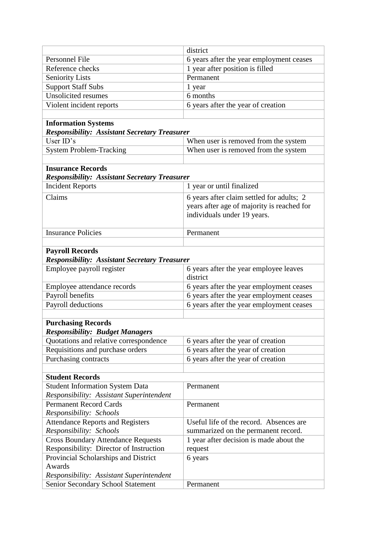|                                                      | district                                   |
|------------------------------------------------------|--------------------------------------------|
| Personnel File                                       | 6 years after the year employment ceases   |
| Reference checks                                     | 1 year after position is filled            |
| <b>Seniority Lists</b>                               | Permanent                                  |
| <b>Support Staff Subs</b>                            | 1 year                                     |
| <b>Unsolicited resumes</b>                           | 6 months                                   |
| Violent incident reports                             | 6 years after the year of creation         |
|                                                      |                                            |
| <b>Information Systems</b>                           |                                            |
| <b>Responsibility: Assistant Secretary Treasurer</b> |                                            |
| User ID's                                            | When user is removed from the system       |
| <b>System Problem-Tracking</b>                       | When user is removed from the system       |
|                                                      |                                            |
| <b>Insurance Records</b>                             |                                            |
| <b>Responsibility: Assistant Secretary Treasurer</b> |                                            |
| <b>Incident Reports</b>                              | 1 year or until finalized                  |
| Claims                                               | 6 years after claim settled for adults; 2  |
|                                                      | years after age of majority is reached for |
|                                                      | individuals under 19 years.                |
|                                                      |                                            |
| <b>Insurance Policies</b>                            | Permanent                                  |
|                                                      |                                            |
| <b>Payroll Records</b>                               |                                            |
| <b>Responsibility: Assistant Secretary Treasurer</b> |                                            |
| Employee payroll register                            | 6 years after the year employee leaves     |
|                                                      | district                                   |
| Employee attendance records                          | 6 years after the year employment ceases   |
| Payroll benefits                                     | 6 years after the year employment ceases   |
| Payroll deductions                                   | 6 years after the year employment ceases   |
|                                                      |                                            |
| <b>Purchasing Records</b>                            |                                            |
| <b>Responsibility: Budget Managers</b>               |                                            |
| Quotations and relative correspondence               | 6 years after the year of creation         |
| Requisitions and purchase orders                     | 6 years after the year of creation         |
| Purchasing contracts                                 | 6 years after the year of creation         |
|                                                      |                                            |
| <b>Student Records</b>                               |                                            |
| <b>Student Information System Data</b>               | Permanent                                  |
| Responsibility: Assistant Superintendent             |                                            |
| <b>Permanent Record Cards</b>                        | Permanent                                  |
| Responsibility: Schools                              |                                            |
| <b>Attendance Reports and Registers</b>              | Useful life of the record. Absences are    |
| Responsibility: Schools                              | summarized on the permanent record.        |
| <b>Cross Boundary Attendance Requests</b>            | 1 year after decision is made about the    |
| Responsibility: Director of Instruction              | request                                    |
| Provincial Scholarships and District                 | 6 years                                    |
| Awards                                               |                                            |
| Responsibility: Assistant Superintendent             |                                            |
| Senior Secondary School Statement                    | Permanent                                  |